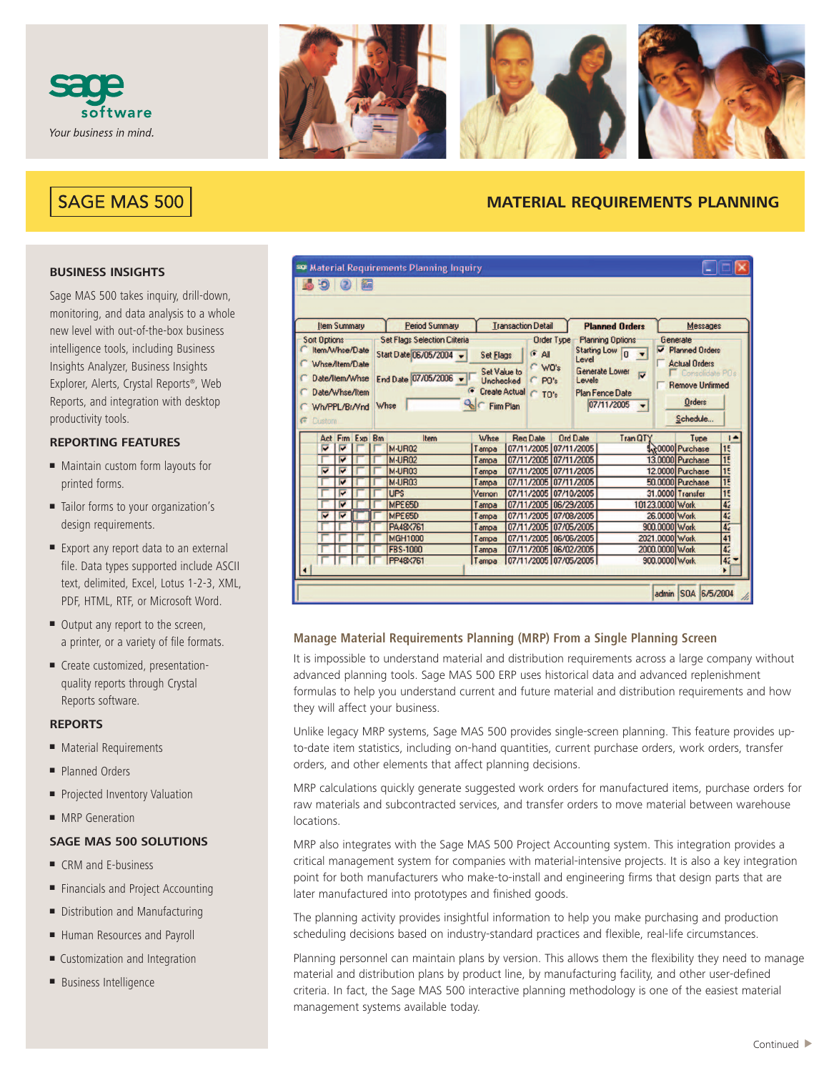



# SAGE MAS 500

# **MATERIAL REQUIREMENTS PLANNING**

# **BUSINESS INSIGHTS**

Sage MAS 500 takes inquiry, drill-down, monitoring, and data analysis to a whole new level with out-of-the-box business intelligence tools, including Business Insights Analyzer, Business Insights Explorer, Alerts, Crystal Reports®, Web Reports, and integration with desktop productivity tools.

# **REPORTING FEATURES**

- Maintain custom form layouts for printed forms.
- Tailor forms to your organization's design requirements.
- Export any report data to an external file. Data types supported include ASCII text, delimited, Excel, Lotus 1-2-3, XML, PDF, HTML, RTF, or Microsoft Word.
- Output any report to the screen, a printer, or a variety of file formats.
- Create customized, presentationquality reports through Crystal Reports software.

#### **REPORTS**

- Material Requirements
- Planned Orders
- Projected Inventory Valuation
- MRP Generation

# **SAGE MAS 500 SOLUTIONS**

- CRM and E-business
- Financials and Project Accounting
- Distribution and Manufacturing
- Human Resources and Payroll
- Customization and Integration
- Business Intelligence

|                                                                                                              | <b>Item Summary</b>     |                |      | <b>Period Summary</b>                                                                   |                                                                                                                 | <b>Transaction Detail</b> |                          |                   | <b>Planned Orders</b>                  |                                                                                                                |                 | Messages                                                                                                                     |                 |
|--------------------------------------------------------------------------------------------------------------|-------------------------|----------------|------|-----------------------------------------------------------------------------------------|-----------------------------------------------------------------------------------------------------------------|---------------------------|--------------------------|-------------------|----------------------------------------|----------------------------------------------------------------------------------------------------------------|-----------------|------------------------------------------------------------------------------------------------------------------------------|-----------------|
| <b>Sort Options</b><br>Item/Whse/Date<br>Whse/Item/Date<br>Date/Item/Whse<br>Date/Whse/Item<br>Wh/PPL/Br/Vnd |                         |                | Whse | <b>Set Flags Selection Criteria</b><br>Start Date 06/05/2004 -<br>End Date 07/05/2006 - | <b>Set Flags</b><br>Set Value to<br><b>Unchecked</b><br>Create Actual C TO's<br><b>Q</b> <sub>C</sub> Firm Plan |                           | $G$ All<br>WO's<br>CP0's | <b>Order Type</b> | <b>Starting Low</b><br>Level<br>Levels | <b>Planning Options</b><br>$\overline{0}$<br>Generate Lower<br>$\overline{u}$<br>Plan Fence Date<br>07/11/2005 | ⊽               | Generate<br><b>Planned Orders</b><br><b>Actual Orders</b><br>Consolidate PDs<br><b>Remove Unfirmed</b><br>Orders<br>Schedule |                 |
| <b>C</b> Custom                                                                                              |                         | Act Frm Exp Bm |      | Item                                                                                    | Whse                                                                                                            |                           | <b>Reg Date</b>          |                   | <b>Ord Date</b>                        | Tran QTY                                                                                                       |                 | Type                                                                                                                         | п               |
| v                                                                                                            | $\overline{\mathbf{v}}$ |                |      | <b>M-UR02</b>                                                                           | Tampa                                                                                                           |                           | 07/11/2005 07/11/2005    |                   |                                        |                                                                                                                |                 | 1.20000 Purchase                                                                                                             | 15              |
|                                                                                                              | M                       |                |      | <b>M-UR02</b>                                                                           | Tampa                                                                                                           |                           | 07/11/2005               | 07/11/2005        |                                        |                                                                                                                |                 | 13.0000 Purchase                                                                                                             | $\overline{15}$ |
| Μ                                                                                                            | $\overline{\mathbf{v}}$ |                |      | M-UR03                                                                                  | Tampa                                                                                                           |                           | 07/11/2005               | 07/11/2005        |                                        |                                                                                                                |                 | 12.0000 Purchase                                                                                                             | $\overline{15}$ |
|                                                                                                              | $\overline{\mathbf{v}}$ |                |      | <b>M-UR03</b>                                                                           | Tampa                                                                                                           |                           | 07/11/2005               | 07/11/2005        |                                        |                                                                                                                |                 | 50.0000 Purchase                                                                                                             | 15              |
|                                                                                                              | M                       |                |      | <b>UPS</b>                                                                              | Vernon                                                                                                          |                           | 07/11/2005 07/10/2005    |                   |                                        |                                                                                                                |                 | 31.0000 Transfer                                                                                                             | $\overline{15}$ |
|                                                                                                              | E                       |                |      | MPE65D                                                                                  | Tampa                                                                                                           |                           | 07/11/2005               | 06/29/2005        |                                        |                                                                                                                | 10123.0000 Work |                                                                                                                              | $\overline{4}$  |
|                                                                                                              |                         |                |      | MPE65D                                                                                  | Tampa                                                                                                           |                           | 07/11/2005               | 07/08/2005        |                                        |                                                                                                                | 26.0000 Work    |                                                                                                                              | 4 <sup>2</sup>  |
| M                                                                                                            | $\overline{\mathbf{v}}$ |                |      |                                                                                         |                                                                                                                 |                           |                          |                   |                                        |                                                                                                                | 900.0000 Work   |                                                                                                                              |                 |
|                                                                                                              |                         |                |      | PA48×761                                                                                | Tampa                                                                                                           | 07/11/2005 07/05/2005     |                          |                   |                                        |                                                                                                                |                 |                                                                                                                              | 42              |
|                                                                                                              |                         |                |      | <b>MGH1000</b>                                                                          | Tampa                                                                                                           |                           | 07/11/2005 06/06/2005    |                   |                                        |                                                                                                                | 2021.0000 Work  |                                                                                                                              | 41              |

# **Manage Material Requirements Planning (MRP) From a Single Planning Screen**

It is impossible to understand material and distribution requirements across a large company without advanced planning tools. Sage MAS 500 ERP uses historical data and advanced replenishment formulas to help you understand current and future material and distribution requirements and how they will affect your business.

Unlike legacy MRP systems, Sage MAS 500 provides single-screen planning. This feature provides upto-date item statistics, including on-hand quantities, current purchase orders, work orders, transfer orders, and other elements that affect planning decisions.

MRP calculations quickly generate suggested work orders for manufactured items, purchase orders for raw materials and subcontracted services, and transfer orders to move material between warehouse locations.

MRP also integrates with the Sage MAS 500 Project Accounting system. This integration provides a critical management system for companies with material-intensive projects. It is also a key integration point for both manufacturers who make-to-install and engineering firms that design parts that are later manufactured into prototypes and finished goods.

The planning activity provides insightful information to help you make purchasing and production scheduling decisions based on industry-standard practices and flexible, real-life circumstances.

Planning personnel can maintain plans by version. This allows them the flexibility they need to manage material and distribution plans by product line, by manufacturing facility, and other user-defined criteria. In fact, the Sage MAS 500 interactive planning methodology is one of the easiest material management systems available today.